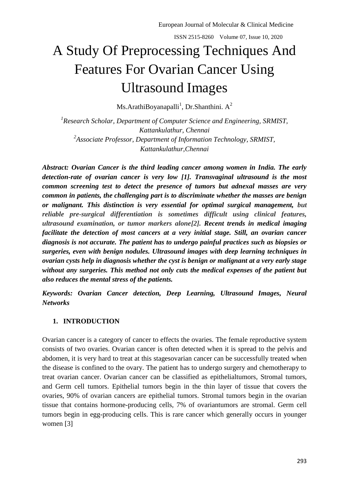# A Study Of Preprocessing Techniques And Features For Ovarian Cancer Using Ultrasound Images

Ms.ArathiBoyanapalli<sup>1</sup>, Dr.Shanthini. A<sup>2</sup>

<sup>1</sup> Research Scholar, Department of Computer Science and Engineering, SRMIST, *Kattankulathur, Chennai 2 Associate Professor, Department of Information Technology, SRMIST, Kattankulathur,Chennai*

*Abstract: Ovarian Cancer is the third leading cancer among women in India. The early detection-rate of ovarian cancer is very low [1]. Transvaginal ultrasound is the most common screening test to detect the presence of tumors but adnexal masses are very common in patients, the challenging part is to discriminate whether the masses are benign or malignant. This distinction is very essential for optimal surgical management, but reliable pre-surgical differentiation is sometimes difficult using clinical features, ultrasound examination, or tumor markers alone[2]. Recent trends in medical imaging facilitate the detection of most cancers at a very initial stage. Still, an ovarian cancer diagnosis is not accurate. The patient has to undergo painful practices such as biopsies or surgeries, even with benign nodules. Ultrasound images with deep learning techniques in ovarian cysts help in diagnosis whether the cyst is benign or malignant at a very early stage without any surgeries. This method not only cuts the medical expenses of the patient but also reduces the mental stress of the patients.* 

*Keywords: Ovarian Cancer detection, Deep Learning, Ultrasound Images, Neural Networks*

### **1. INTRODUCTION**

Ovarian cancer is a category of cancer to effects the ovaries. The female reproductive system consists of two ovaries. Ovarian cancer is often detected when it is spread to the pelvis and abdomen, it is very hard to treat at this stagesovarian cancer can be successfully treated when the disease is confined to the ovary. The patient has to undergo surgery and chemotherapy to treat ovarian cancer. Ovarian cancer can be classified as epithelialtumors, Stromal tumors, and Germ cell tumors. Epithelial tumors begin in the thin layer of tissue that covers the ovaries, 90% of ovarian cancers are epithelial tumors. Stromal tumors begin in the ovarian tissue that contains hormone-producing cells, 7% of ovariantumors are stromal. Germ cell tumors begin in egg-producing cells. This is rare cancer which generally occurs in younger women [3]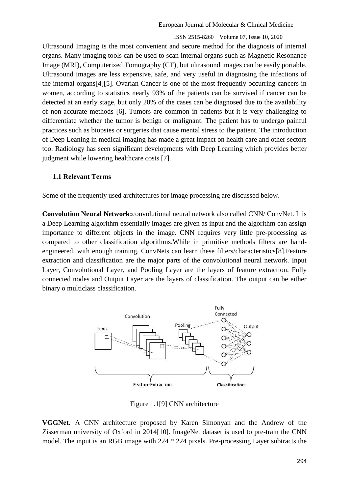Ultrasound Imaging is the most convenient and secure method for the diagnosis of internal organs. Many imaging tools can be used to scan internal organs such as Magnetic Resonance Image (MRI), Computerized Tomography (CT), but ultrasound images can be easily portable. Ultrasound images are less expensive, safe, and very useful in diagnosing the infections of the internal organs[4][5]. Ovarian Cancer is one of the most frequently occurring cancers in women, according to statistics nearly 93% of the patients can be survived if cancer can be detected at an early stage, but only 20% of the cases can be diagnosed due to the availability of non-accurate methods [6]. Tumors are common in patients but it is very challenging to differentiate whether the tumor is benign or malignant. The patient has to undergo painful practices such as biopsies or surgeries that cause mental stress to the patient. The introduction of Deep Leaning in medical imaging has made a great impact on health care and other sectors too. Radiology has seen significant developments with Deep Learning which provides better judgment while lowering healthcare costs [7].

#### **1.1 Relevant Terms**

Some of the frequently used architectures for image processing are discussed below.

**Convolution Neural Network:**convolutional neural network also called CNN/ ConvNet. It is a Deep Learning algorithm essentially images are given as input and the algorithm can assign importance to different objects in the image. CNN requires very little pre-processing as compared to other classification algorithms.While in primitive methods filters are handengineered, with enough training, ConvNets can learn these filters/characteristics[8].Feature extraction and classification are the major parts of the convolutional neural network. Input Layer, Convolutional Layer, and Pooling Layer are the layers of feature extraction, Fully connected nodes and Output Layer are the layers of classification. The output can be either binary o multiclass classification.



Figure 1.1[9] CNN architecture

**VGGNet***:* A CNN architecture proposed by Karen Simonyan and the Andrew of the Zisserman university of Oxford in 2014[10]. ImageNet dataset is used to pre-train the CNN model. The input is an RGB image with 224 \* 224 pixels. Pre-processing Layer subtracts the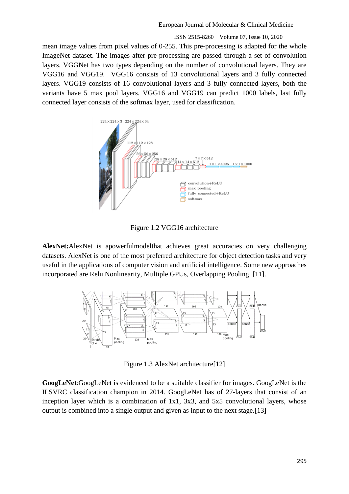#### ISSN 2515-8260 Volume 07, Issue 10, 2020

mean image values from pixel values of 0-255. This pre-processing is adapted for the whole ImageNet dataset. The images after pre-processing are passed through a set of convolution layers. VGGNet has two types depending on the number of convolutional layers. They are VGG16 and VGG19. VGG16 consists of 13 convolutional layers and 3 fully connected layers. VGG19 consists of 16 convolutional layers and 3 fully connected layers, both the variants have 5 max pool layers. VGG16 and VGG19 can predict 1000 labels, last fully connected layer consists of the softmax layer, used for classification.



Figure 1.2 VGG16 architecture

**AlexNet:**AlexNet is apowerfulmodelthat achieves great accuracies on very challenging datasets. AlexNet is one of the most preferred architecture for object detection tasks and very useful in the applications of computer vision and artificial intelligence. Some new approaches incorporated are Relu Nonlinearity, Multiple GPUs, Overlapping Pooling [11].



Figure 1.3 AlexNet architecture[12]

**GoogLeNet**:GoogLeNet is evidenced to be a suitable classifier for images. GoogLeNet is the ILSVRC classification champion in 2014. GoogLeNet has of 27-layers that consist of an inception layer which is a combination of 1x1, 3x3, and 5x5 convolutional layers, whose output is combined into a single output and given as input to the next stage.[13]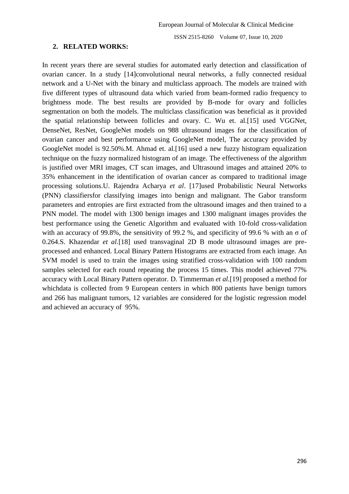#### **2. RELATED WORKS:**

In recent years there are several studies for automated early detection and classification of ovarian cancer. In a study [14]convolutional neural networks, a fully connected residual network and a U-Net with the binary and multiclass approach. The models are trained with five different types of ultrasound data which varied from beam-formed radio frequency to brightness mode. The best results are provided by B-mode for ovary and follicles segmentation on both the models. The multiclass classification was beneficial as it provided the spatial relationship between follicles and ovary. C. Wu et. al.[15] used VGGNet, DenseNet, ResNet, GoogleNet models on 988 ultrasound images for the classification of ovarian cancer and best performance using GoogleNet model, The accuracy provided by GoogleNet model is 92.50%.M. Ahmad et. al.[16] used a new fuzzy histogram equalization technique on the fuzzy normalized histogram of an image. The effectiveness of the algorithm is justified over MRI images, CT scan images, and Ultrasound images and attained 20% to 35% enhancement in the identification of ovarian cancer as compared to traditional image processing solutions.U. Rajendra Acharya *et al*. [17]used Probabilistic Neural Networks (PNN) classifiersfor classifying images into benign and malignant. The Gabor transform parameters and entropies are first extracted from the ultrasound images and then trained to a PNN model. The model with 1300 benign images and 1300 malignant images provides the best performance using the Genetic Algorithm and evaluated with 10-fold cross-validation with an accuracy of 99.8%, the sensitivity of 99.2 %, and specificity of 99.6 % with an  $\sigma$  of 0.264.S. Khazendar *et al.*[18] used transvaginal 2D B mode ultrasound images are preprocessed and enhanced. Local Binary Pattern Histograms are extracted from each image. An SVM model is used to train the images using stratified cross-validation with 100 random samples selected for each round repeating the process 15 times. This model achieved 77% accuracy with Local Binary Pattern operator. D. Timmerman *et al.*[19] proposed a method for whichdata is collected from 9 European centers in which 800 patients have benign tumors and 266 has malignant tumors, 12 variables are considered for the logistic regression model and achieved an accuracy of 95%.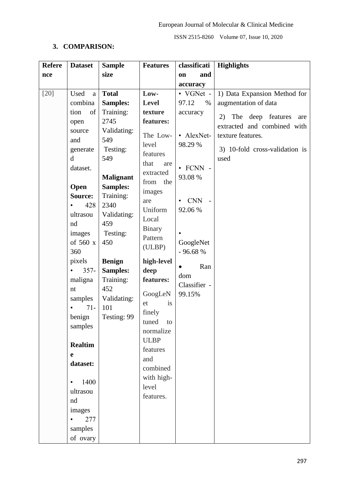## **3. COMPARISON:**

| <b>Refere</b> | <b>Dataset</b>                                                                                                                                                                                                                                                                                                                                                                        | <b>Sample</b>                                                                                                                                                                                                                                                                            | <b>Features</b>                                                                                                                                                                                                                                                                                                                                                          | classificati                                                                                                                                                                                       | <b>Highlights</b>                                                                                                                                                                    |
|---------------|---------------------------------------------------------------------------------------------------------------------------------------------------------------------------------------------------------------------------------------------------------------------------------------------------------------------------------------------------------------------------------------|------------------------------------------------------------------------------------------------------------------------------------------------------------------------------------------------------------------------------------------------------------------------------------------|--------------------------------------------------------------------------------------------------------------------------------------------------------------------------------------------------------------------------------------------------------------------------------------------------------------------------------------------------------------------------|----------------------------------------------------------------------------------------------------------------------------------------------------------------------------------------------------|--------------------------------------------------------------------------------------------------------------------------------------------------------------------------------------|
|               |                                                                                                                                                                                                                                                                                                                                                                                       | size                                                                                                                                                                                                                                                                                     |                                                                                                                                                                                                                                                                                                                                                                          | and<br>on                                                                                                                                                                                          |                                                                                                                                                                                      |
|               |                                                                                                                                                                                                                                                                                                                                                                                       |                                                                                                                                                                                                                                                                                          |                                                                                                                                                                                                                                                                                                                                                                          |                                                                                                                                                                                                    |                                                                                                                                                                                      |
| nce<br>$[20]$ | Used<br>$\rm{a}$<br>combina<br>of<br>tion<br>open<br>source<br>and<br>generate<br>$\mathbf d$<br>dataset.<br>Open<br>Source:<br>428<br>ultrasou<br>nd<br>images<br>of 560 x<br>360<br>pixels<br>$357 -$<br>maligna<br>nt<br>samples<br>$71 -$<br>benign<br>samples<br><b>Realtim</b><br>e<br>dataset:<br>1400<br>$\bullet$<br>ultrasou<br>nd<br>images<br>277<br>$\bullet$<br>samples | <b>Total</b><br>Samples:<br>Training:<br>2745<br>Validating:<br>549<br>Testing:<br>549<br><b>Malignant</b><br><b>Samples:</b><br>Training:<br>2340<br>Validating:<br>459<br>Testing:<br>450<br><b>Benign</b><br><b>Samples:</b><br>Training:<br>452<br>Validating:<br>101<br>Testing: 99 | Low-<br><b>Level</b><br>texture<br>features:<br>The Low-<br>level<br>features<br>that<br>are<br>extracted<br>from the<br>images<br>are<br>Uniform<br>Local<br>Binary<br>Pattern<br>(ULBP)<br>high-level<br>deep<br>features:<br>GoogLeN<br>is<br>et<br>finely<br>tuned to<br>normalize<br><b>ULBP</b><br>features<br>and<br>combined<br>with high-<br>level<br>features. | accuracy<br>• VGNet -<br>$\%$<br>97.12<br>accuracy<br>• AlexNet-<br>98.29 %<br>$\cdot$ FCNN -<br>93.08 %<br><b>CNN</b><br>92.06%<br>GoogleNet<br>- 96.68 %<br>Ran<br>dom<br>Classifier -<br>99.15% | 1) Data Expansion Method for<br>augmentation of data<br>The deep features<br>2)<br>are<br>extracted and combined with<br>texture features.<br>3) 10-fold cross-validation is<br>used |
|               | of ovary                                                                                                                                                                                                                                                                                                                                                                              |                                                                                                                                                                                                                                                                                          |                                                                                                                                                                                                                                                                                                                                                                          |                                                                                                                                                                                                    |                                                                                                                                                                                      |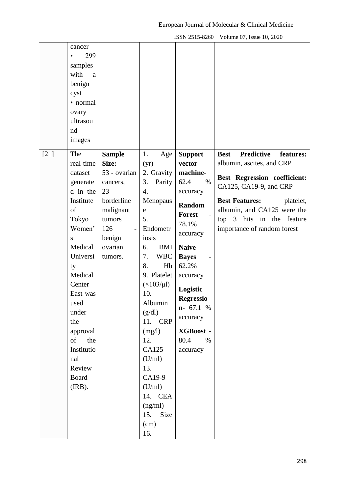| cancer<br>samples<br>with<br>benign<br>cyst<br>• normal<br>ovary<br>ultrasou<br>nd<br>images                                                                  | 299<br>a                                                                       |                                                                                                                                                                                                                                                   |                                                                                                                                                      |                                                                                                                               |
|---------------------------------------------------------------------------------------------------------------------------------------------------------------|--------------------------------------------------------------------------------|---------------------------------------------------------------------------------------------------------------------------------------------------------------------------------------------------------------------------------------------------|------------------------------------------------------------------------------------------------------------------------------------------------------|-------------------------------------------------------------------------------------------------------------------------------|
| $[21]$<br>The<br>real-time                                                                                                                                    | <b>Sample</b><br>Size:                                                         | 1.<br>Age                                                                                                                                                                                                                                         | <b>Support</b><br>vector                                                                                                                             | <b>Best</b><br><b>Predictive</b><br>features:<br>albumin, ascites, and CRP                                                    |
| dataset                                                                                                                                                       | 53 - ovarian                                                                   | (yr)<br>2. Gravity                                                                                                                                                                                                                                | machine-                                                                                                                                             |                                                                                                                               |
| generate<br>d in the                                                                                                                                          | cancers,<br>23                                                                 | 3.<br>Parity<br>4.                                                                                                                                                                                                                                | 62.4<br>$\%$<br>accuracy                                                                                                                             | Best Regression coefficient:<br>CA125, CA19-9, and CRP                                                                        |
| Institute<br>of<br>Tokyo<br>Women'<br>S                                                                                                                       | borderline<br>malignant<br>tumors<br>126<br>$\overline{\phantom{a}}$<br>benign | Menopaus<br>e<br>5.<br>Endometr<br>iosis                                                                                                                                                                                                          | <b>Random</b><br><b>Forest</b><br>78.1%<br>accuracy                                                                                                  | <b>Best Features:</b><br>platelet,<br>albumin, and CA125 were the<br>top 3 hits in the feature<br>importance of random forest |
| Medical<br>Universi<br>ty<br>Medical<br>Center<br>East was<br>used<br>under<br>the<br>approval<br>of<br>Institutio<br>nal<br>Review<br><b>Board</b><br>(IRB). | ovarian<br>tumors.<br>the                                                      | <b>BMI</b><br>6.<br><b>WBC</b><br>7.<br>8.<br>Hb<br>9. Platelet<br>$(\times 103/\mu l)$<br>10.<br>Albumin<br>(g/dl)<br>11. CRP<br>(mg/l)<br>12.<br>CA125<br>(U/ml)<br>13.<br>CA19-9<br>(U/ml)<br>14. CEA<br>(ng/ml)<br>Size<br>15.<br>(cm)<br>16. | <b>Naive</b><br><b>Bayes</b><br>62.2%<br>accuracy<br>Logistic<br><b>Regressio</b><br>$n-67.1 %$<br>accuracy<br>XGBoost -<br>80.4<br>$\%$<br>accuracy |                                                                                                                               |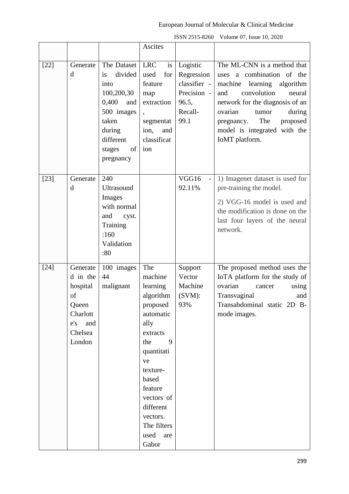|        |                                                                                             |                                                                                                                                               | Ascites                                                                                                                                                                                                                            |                                                                                   |                                                                                                                                                                                                                                                                                  |
|--------|---------------------------------------------------------------------------------------------|-----------------------------------------------------------------------------------------------------------------------------------------------|------------------------------------------------------------------------------------------------------------------------------------------------------------------------------------------------------------------------------------|-----------------------------------------------------------------------------------|----------------------------------------------------------------------------------------------------------------------------------------------------------------------------------------------------------------------------------------------------------------------------------|
| $[22]$ | Generate<br>d                                                                               | The Dataset<br>divided<br>is<br>into<br>100,200,30<br>0,400<br>and<br>500 images<br>taken<br>during<br>different<br>of<br>stages<br>pregnancy | <b>LRC</b><br>is<br>used<br>for<br>feature<br>map<br>extraction<br>$\overline{\phantom{a}}$<br>segmentat<br>ion,<br>and<br>classificat<br>ion                                                                                      | Logistic<br>Regression<br>classifier -<br>Precision -<br>96.5,<br>Recall-<br>99.1 | The ML-CNN is a method that<br>uses a combination of the<br>learning<br>machine<br>algorithm<br>convolution<br>and<br>neural<br>network for the diagnosis of an<br>ovarian<br>during<br>tumor<br>The<br>pregnancy.<br>proposed<br>model is integrated with the<br>IoMT platform. |
| $[23]$ | Generate<br>d                                                                               | 240<br>Ultrasound<br>Images<br>with normal<br>and<br>cyst.<br>Training<br>:160<br>Validation<br>:80                                           |                                                                                                                                                                                                                                    | VGG16<br>$\overline{a}$<br>92.11%                                                 | 1) Imagenet dataset is used for<br>pre-training the model.<br>2) VGG-16 model is used and<br>the modification is done on the<br>last four layers of the neural<br>network.                                                                                                       |
| $[24]$ | Generate<br>d in the<br>hospital<br>of<br>Queen<br>Charlott<br>e's and<br>Chelsea<br>London | 100 images<br>44<br>malignant                                                                                                                 | The<br>machine<br>learning<br>algorithm<br>proposed<br>automatic<br>ally<br>extracts<br>9<br>the<br>quantitati<br>ve<br>texture-<br>based<br>feature<br>vectors of<br>different<br>vectors.<br>The filters<br>used<br>are<br>Gabor | Support<br>Vector<br>Machine<br>(SVM):<br>93%                                     | The proposed method uses the<br>IoTA platform for the study of<br>ovarian<br>using<br>cancer<br>Transvaginal<br>and<br>Transabdominal static 2D B-<br>mode images.                                                                                                               |

ISSN 2515-8260 Volume 07, Issue 10, 2020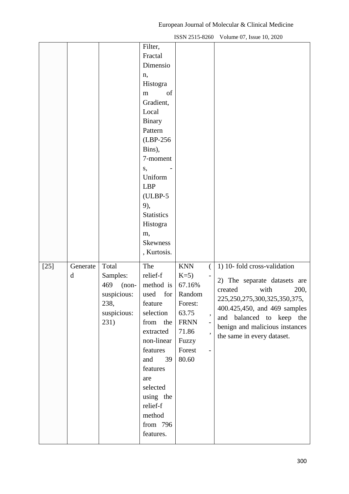|        |               |                                                                                   | Filter,<br>Fractal<br>Dimensio<br>n,<br>Histogra<br>of<br>m<br>Gradient,<br>Local<br><b>Binary</b><br>Pattern<br>(LBP-256)<br>Bins),<br>7-moment<br>S,<br>Uniform<br><b>LBP</b><br>$(ULBP-5)$<br>9),<br><b>Statistics</b><br>Histogra<br>m,<br><b>Skewness</b> |                                                                                                                   |                                                                        |                                                                                                                                                                                                                                                           |
|--------|---------------|-----------------------------------------------------------------------------------|----------------------------------------------------------------------------------------------------------------------------------------------------------------------------------------------------------------------------------------------------------------|-------------------------------------------------------------------------------------------------------------------|------------------------------------------------------------------------|-----------------------------------------------------------------------------------------------------------------------------------------------------------------------------------------------------------------------------------------------------------|
| $[25]$ | Generate<br>d | Total<br>Samples:<br>469<br>$(non-$<br>suspicious:<br>238,<br>suspicious:<br>231) | , Kurtosis.<br>The<br>relief-f<br>method is<br>used for<br>$\operatorname{feature}$<br>selection<br>from the<br>extracted<br>non-linear<br>features<br>and<br>39<br>features<br>are<br>selected<br>using the<br>relief-f<br>method<br>from 796<br>features.    | <b>KNN</b><br>$K=5$ )<br>67.16%<br>Random<br>Forest:<br>63.75<br><b>FRNN</b><br>71.86<br>Fuzzy<br>Forest<br>80.60 | €<br>$\overline{\phantom{a}}$<br>$\bullet$<br>$\overline{\phantom{a}}$ | 1) 10- fold cross-validation<br>2) The separate datasets are<br>created<br>with<br>200,<br>225, 250, 275, 300, 325, 350, 375,<br>400.425,450, and 469 samples<br>and balanced to keep the<br>benign and malicious instances<br>the same in every dataset. |

ISSN 2515-8260 Volume 07, Issue 10, 2020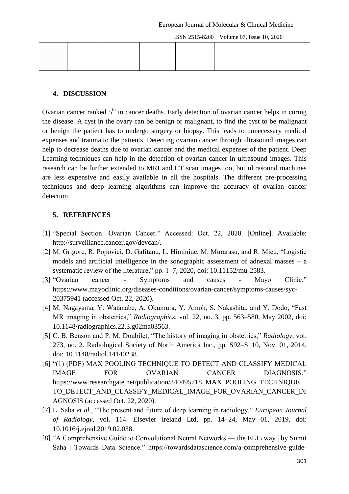#### **4. DISCUSSION**

Ovarian cancer ranked  $5<sup>th</sup>$  in cancer deaths. Early detection of ovarian cancer helps in curing the disease. A cyst in the ovary can be benign or malignant, to find the cyst to be malignant or benign the patient has to undergo surgery or biopsy. This leads to unnecessary medical expenses and trauma to the patients. Detecting ovarian cancer through ultrasound images can help to decrease deaths due to ovarian cancer and the medical expenses of the patient. Deep Learning techniques can help in the detection of ovarian cancer in ultrasound images. This research can be further extended to MRI and CT scan images too, but ultrasound machines are less expensive and easily available in all the hospitals. The different pre-processing techniques and deep learning algorithms can improve the accuracy of ovarian cancer detection.

#### **5. REFERENCES**

- [1] "Special Section: Ovarian Cancer." Accessed: Oct. 22, 2020. [Online]. Available: http://surveillance.cancer.gov/devcan/.
- [2] M. Grigore, R. Popovici, D. Gafitanu, L. Himiniuc, M. Murarasu, and R. Micu, "Logistic models and artificial intelligence in the sonographic assessment of adnexal masses – a systematic review of the literature," pp. 1–7, 2020, doi: 10.11152/mu-2583.
- [3] "Ovarian cancer Symptoms and causes Mayo Clinic." https://www.mayoclinic.org/diseases-conditions/ovarian-cancer/symptoms-causes/syc-20375941 (accessed Oct. 22, 2020).
- [4] M. Nagayama, Y. Watanabe, A. Okumura, Y. Amoh, S. Nakashita, and Y. Dodo, "Fast MR imaging in obstetrics," *Radiographics*, vol. 22, no. 3, pp. 563–580, May 2002, doi: 10.1148/radiographics.22.3.g02ma03563.
- [5] C. B. Benson and P. M. Doubilet, "The history of imaging in obstetrics," *Radiology*, vol. 273, no. 2. Radiological Society of North America Inc., pp. S92–S110, Nov. 01, 2014, doi: 10.1148/radiol.14140238.
- [6] "(1) (PDF) MAX POOLING TECHNIQUE TO DETECT AND CLASSIFY MEDICAL IMAGE FOR OVARIAN CANCER DIAGNOSIS." https://www.researchgate.net/publication/340495718\_MAX\_POOLING\_TECHNIQUE TO\_DETECT\_AND\_CLASSIFY\_MEDICAL\_IMAGE\_FOR\_OVARIAN\_CANCER\_DI AGNOSIS (accessed Oct. 22, 2020).
- [7] L. Saba et al., "The present and future of deep learning in radiology," *European Journal of Radiology*, vol. 114. Elsevier Ireland Ltd, pp. 14–24, May 01, 2019, doi: 10.1016/j.ejrad.2019.02.038.
- [8] "A Comprehensive Guide to Convolutional Neural Networks the ELI5 way | by Sumit Saha | Towards Data Science." https://towardsdatascience.com/a-comprehensive-guide-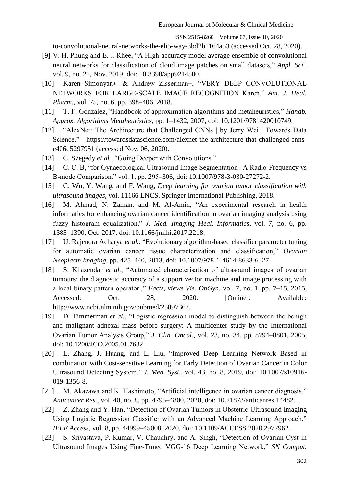ISSN 2515-8260 Volume 07, Issue 10, 2020

to-convolutional-neural-networks-the-eli5-way-3bd2b1164a53 (accessed Oct. 28, 2020).

- [9] V. H. Phung and E. J. Rhee, "A High-accuracy model average ensemble of convolutional neural networks for classification of cloud image patches on small datasets," *Appl. Sci.*, vol. 9, no. 21, Nov. 2019, doi: 10.3390/app9214500.
- [10] Karen Simonyan\* & Andrew Zisserman+, "VERY DEEP CONVOLUTIONAL NETWORKS FOR LARGE-SCALE IMAGE RECOGNITION Karen," Am. J. Heal. *Pharm.*, vol. 75, no. 6, pp. 398–406, 2018.
- [11] T. F. Gonzalez, "Handbook of approximation algorithms and metaheuristics," *Handb*. *Approx. Algorithms Metaheuristics*, pp. 1–1432, 2007, doi: 10.1201/9781420010749.
- [12] "AlexNet: The Architecture that Challenged CNNs | by Jerry Wei | Towards Data Science." https://towardsdatascience.com/alexnet-the-architecture-that-challenged-cnnse406d5297951 (accessed Nov. 06, 2020).
- [13] C. Szegedy et al., "Going Deeper with Convolutions."
- [14] C. C. B, "for Gynaecological Ultrasound Image Segmentation : A Radio-Frequency vs B-mode Comparison," vol. 1, pp. 295–306, doi: 10.1007/978-3-030-27272-2.
- [15] C. Wu, Y. Wang, and F. Wang, *Deep learning for ovarian tumor classification with ultrasound images*, vol. 11166 LNCS. Springer International Publishing, 2018.
- [16] M. Ahmad, N. Zaman, and M. Al-Amin, "An experimental research in health informatics for enhancing ovarian cancer identification in ovarian imaging analysis using fuzzy histogram equalization," *J. Med. Imaging Heal. Informatics*, vol. 7, no. 6, pp. 1385–1390, Oct. 2017, doi: 10.1166/jmihi.2017.2218.
- [17] U. Rajendra Acharya et al., "Evolutionary algorithm-based classifier parameter tuning for automatic ovarian cancer tissue characterization and classification," *Ovarian Neoplasm Imaging*, pp. 425–440, 2013, doi: 10.1007/978-1-4614-8633-6\_27.
- [18] S. Khazendar *et al.*, "Automated characterisation of ultrasound images of ovarian tumours: the diagnostic accuracy of a support vector machine and image processing with a local binary pattern operator.," *Facts, views Vis. ObGyn, vol.* 7, no. 1, pp. 7–15, 2015, Accessed: Oct. 28, 2020. [Online]. Available: http://www.ncbi.nlm.nih.gov/pubmed/25897367.
- [19] D. Timmerman *et al.*, "Logistic regression model to distinguish between the benign and malignant adnexal mass before surgery: A multicenter study by the International Ovarian Tumor Analysis Group,‖ *J. Clin. Oncol.*, vol. 23, no. 34, pp. 8794–8801, 2005, doi: 10.1200/JCO.2005.01.7632.
- [20] L. Zhang, J. Huang, and L. Liu, "Improved Deep Learning Network Based in combination with Cost-sensitive Learning for Early Detection of Ovarian Cancer in Color Ultrasound Detecting System," *J. Med. Syst.*, vol. 43, no. 8, 2019, doi: 10.1007/s10916-019-1356-8.
- [21] M. Akazawa and K. Hashimoto, "Artificial intelligence in ovarian cancer diagnosis," *Anticancer Res.*, vol. 40, no. 8, pp. 4795–4800, 2020, doi: 10.21873/anticanres.14482.
- [22] Z. Zhang and Y. Han, "Detection of Ovarian Tumors in Obstetric Ultrasound Imaging Using Logistic Regression Classifier with an Advanced Machine Learning Approach," *IEEE Access*, vol. 8, pp. 44999–45008, 2020, doi: 10.1109/ACCESS.2020.2977962.
- [23] S. Srivastava, P. Kumar, V. Chaudhry, and A. Singh, "Detection of Ovarian Cyst in Ultrasound Images Using Fine-Tuned VGG-16 Deep Learning Network," *SN Comput.*